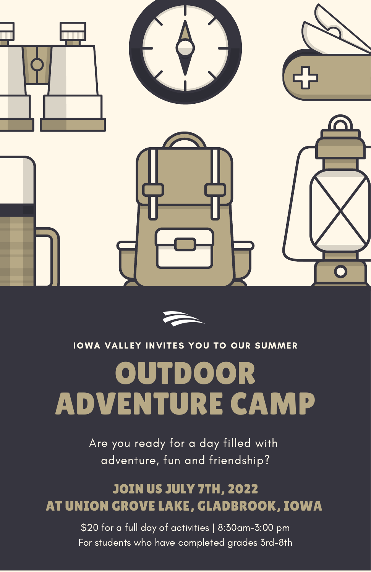



### IOWA VALLEY INVITES YOU TO OUR SUMMER

# OUTDOOR ADVENTURE CAMP

Are you ready for a day filled with adventure, fun and friendship?

## JOIN US JULY 7TH, 2022 AT UNION GROVE LAKE, GLADBROOK, IOWA

\$20 for a full day of activities | 8:30am-3:00 pm For students who have completed grades 3rd-8th